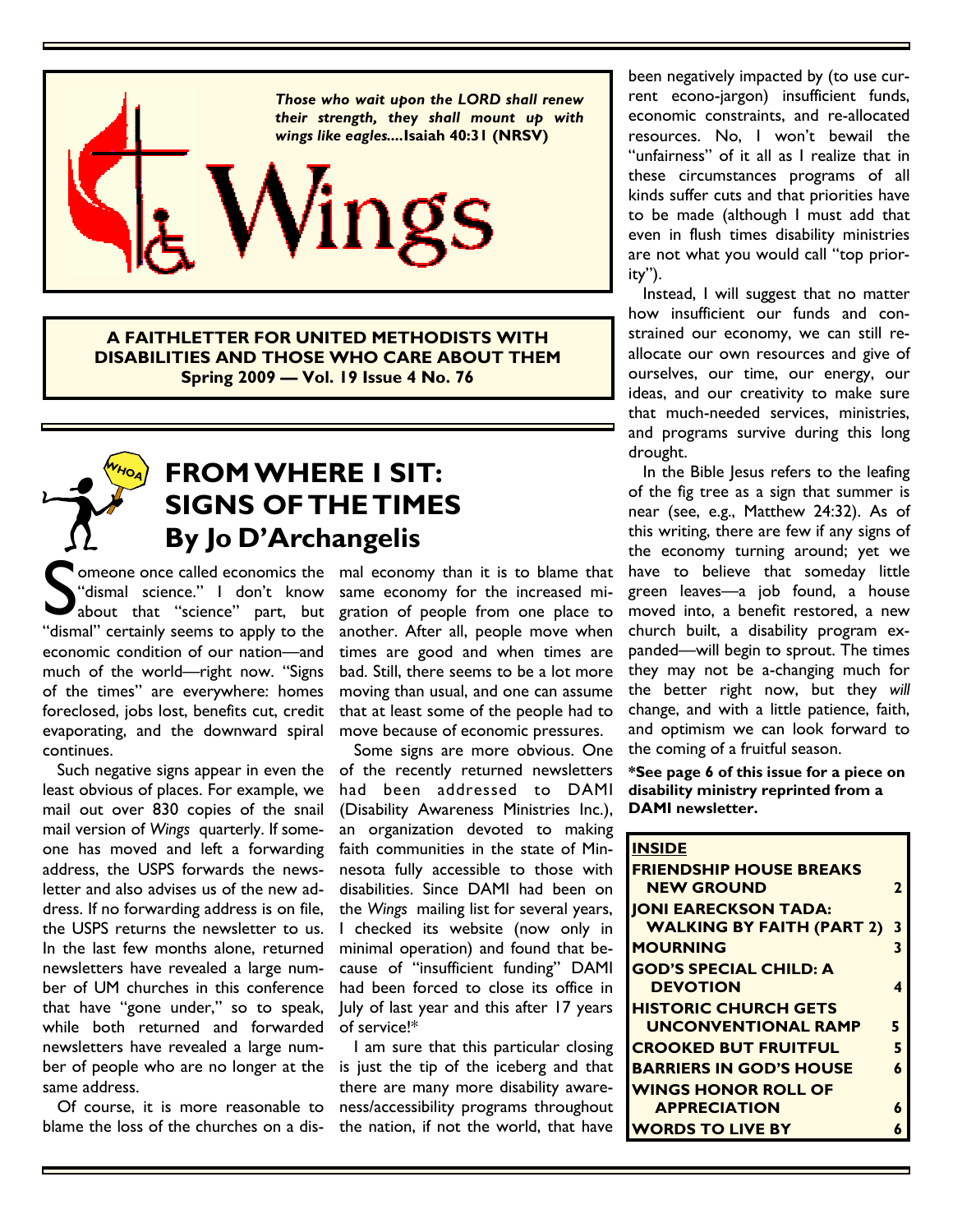

**A FAITHLETTER FOR UNITED METHODISTS WITH DISABILITIES AND THOSE WHO CARE ABOUT THEM Spring 2009 — Vol. 19 Issue 4 No. 76** 

### **FROM WHERE I SIT: SIGNS OF THE TIMES By Jo D'Archangelis WHOA**

omeone once called economics the mal economy than it is to blame that Someone once called economics the<br>
"dismal" science." I don't know<br>
"about that "science" part, but<br>
"dismal" certainly seems to apply to the "dismal science." I don't know about that "science" part, but economic condition of our nation—and much of the world—right now. "Signs of the times" are everywhere: homes foreclosed, jobs lost, benefits cut, credit evaporating, and the downward spiral continues.

 Such negative signs appear in even the least obvious of places. For example, we mail out over 830 copies of the snail mail version of *Wings* quarterly. If someone has moved and left a forwarding address, the USPS forwards the newsletter and also advises us of the new address. If no forwarding address is on file, the USPS returns the newsletter to us. In the last few months alone, returned newsletters have revealed a large number of UM churches in this conference that have "gone under," so to speak, while both returned and forwarded newsletters have revealed a large number of people who are no longer at the same address.

 Of course, it is more reasonable to blame the loss of the churches on a dissame economy for the increased migration of people from one place to another. After all, people move when times are good and when times are bad. Still, there seems to be a lot more moving than usual, and one can assume that at least some of the people had to move because of economic pressures.

 Some signs are more obvious. One of the recently returned newsletters had been addressed to DAMI (Disability Awareness Ministries Inc.), an organization devoted to making faith communities in the state of Minnesota fully accessible to those with disabilities. Since DAMI had been on the *Wings* mailing list for several years, I checked its website (now only in minimal operation) and found that because of "insufficient funding" DAMI had been forced to close its office in July of last year and this after 17 years of service!\*

 I am sure that this particular closing is just the tip of the iceberg and that there are many more disability awareness/accessibility programs throughout the nation, if not the world, that have

been negatively impacted by (to use current econo-jargon) insufficient funds, economic constraints, and re-allocated resources. No, I won't bewail the "unfairness" of it all as I realize that in these circumstances programs of all kinds suffer cuts and that priorities have to be made (although I must add that even in flush times disability ministries are not what you would call "top priority").

 Instead, I will suggest that no matter how insufficient our funds and constrained our economy, we can still reallocate our own resources and give of ourselves, our time, our energy, our ideas, and our creativity to make sure that much-needed services, ministries, and programs survive during this long drought.

 In the Bible Jesus refers to the leafing of the fig tree as a sign that summer is near (see, e.g., Matthew 24:32). As of this writing, there are few if any signs of the economy turning around; yet we have to believe that someday little green leaves—a job found, a house moved into, a benefit restored, a new church built, a disability program expanded—will begin to sprout. The times they may not be a-changing much for the better right now, but they *will*  change, and with a little patience, faith, and optimism we can look forward to the coming of a fruitful season.

**\*See page 6 of this issue for a piece on disability ministry reprinted from a DAMI newsletter.** 

| <b>INSIDE</b>                    |   |
|----------------------------------|---|
| <b>FRIENDSHIP HOUSE BREAKS</b>   |   |
| <b>NEW GROUND</b>                | 2 |
| <b>JONI EARECKSON TADA:</b>      |   |
| <b>WALKING BY FAITH (PART 2)</b> | 3 |
| <b>MOURNING</b>                  | 3 |
| <b>GOD'S SPECIAL CHILD: A</b>    |   |
| <b>DEVOTION</b>                  | 4 |
| <b>HISTORIC CHURCH GETS</b>      |   |
| <b>UNCONVENTIONAL RAMP</b>       | 5 |
| <b>CROOKED BUT FRUITFUL</b>      | 5 |
| <b>BARRIERS IN GOD'S HOUSE</b>   | 6 |
| <b>WINGS HONOR ROLL OF</b>       |   |
| <b>APPRECIATION</b>              | 6 |
| <b>WORDS TO LIVE BY</b>          |   |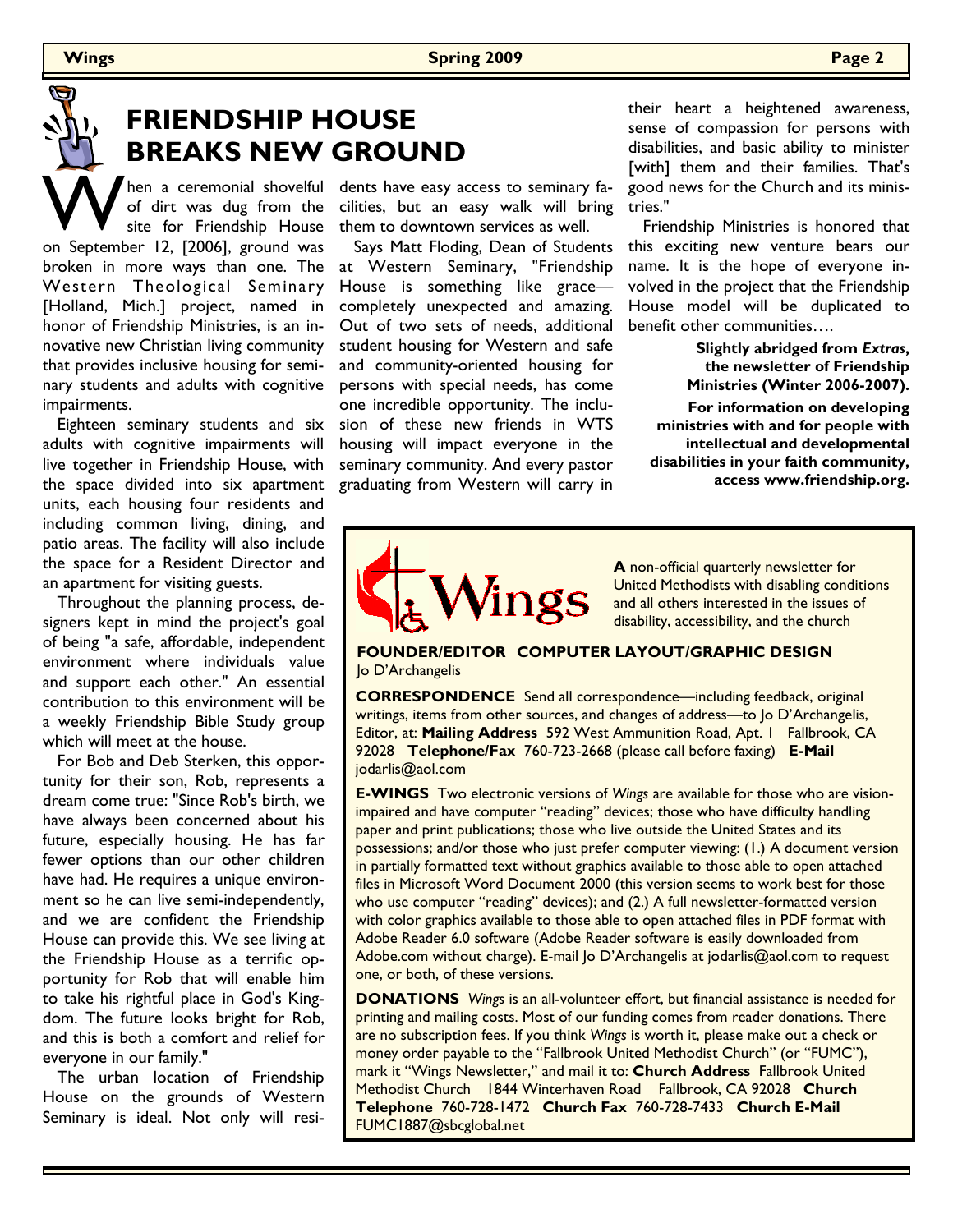# **FRIENDSHIP HOUSE BREAKS NEW GROUND**

When a ceremonial shovelful<br>of dirt was dug from the<br>site for Friendship House of dirt was dug from the site for Friendship House on September 12, [2006], ground was broken in more ways than one. The Western Theological Seminary [Holland, Mich.] project, named in honor of Friendship Ministries, is an innovative new Christian living community that provides inclusive housing for seminary students and adults with cognitive impairments.

 Eighteen seminary students and six adults with cognitive impairments will live together in Friendship House, with the space divided into six apartment units, each housing four residents and including common living, dining, and patio areas. The facility will also include the space for a Resident Director and an apartment for visiting guests.

 Throughout the planning process, designers kept in mind the project's goal of being "a safe, affordable, independent environment where individuals value and support each other." An essential contribution to this environment will be a weekly Friendship Bible Study group which will meet at the house.

 For Bob and Deb Sterken, this opportunity for their son, Rob, represents a dream come true: "Since Rob's birth, we have always been concerned about his future, especially housing. He has far fewer options than our other children have had. He requires a unique environment so he can live semi-independently, and we are confident the Friendship House can provide this. We see living at the Friendship House as a terrific opportunity for Rob that will enable him to take his rightful place in God's Kingdom. The future looks bright for Rob, and this is both a comfort and relief for everyone in our family."

 The urban location of Friendship House on the grounds of Western Seminary is ideal. Not only will resi-

cilities, but an easy walk will bring tries." dents have easy access to seminary fathem to downtown services as well.

 Says Matt Floding, Dean of Students at Western Seminary, "Friendship House is something like grace completely unexpected and amazing. Out of two sets of needs, additional student housing for Western and safe and community-oriented housing for persons with special needs, has come one incredible opportunity. The inclusion of these new friends in WTS housing will impact everyone in the seminary community. And every pastor graduating from Western will carry in

their heart a heightened awareness, sense of compassion for persons with disabilities, and basic ability to minister [with] them and their families. That's good news for the Church and its minis-

 Friendship Ministries is honored that this exciting new venture bears our name. It is the hope of everyone involved in the project that the Friendship House model will be duplicated to benefit other communities….

> **Slightly abridged from** *Extras***, the newsletter of Friendship Ministries (Winter 2006-2007).**

**For information on developing ministries with and for people with intellectual and developmental disabilities in your faith community, access www.friendship.org.**

# /ings

**A** non-official quarterly newsletter for United Methodists with disabling conditions and all others interested in the issues of disability, accessibility, and the church

**FOUNDER/EDITOR COMPUTER LAYOUT/GRAPHIC DESIGN**  lo D'Archangelis

**CORRESPONDENCE** Send all correspondence—including feedback, original writings, items from other sources, and changes of address—to Jo D'Archangelis, Editor, at: **Mailing Address** 592 West Ammunition Road, Apt. 1 Fallbrook, CA 92028 **Telephone/Fax** 760-723-2668 (please call before faxing) **E-Mail**  jodarlis@aol.com

**E-WINGS** Two electronic versions of *Wings* are available for those who are visionimpaired and have computer "reading" devices; those who have difficulty handling paper and print publications; those who live outside the United States and its possessions; and/or those who just prefer computer viewing: (1.) A document version in partially formatted text without graphics available to those able to open attached files in Microsoft Word Document 2000 (this version seems to work best for those who use computer "reading" devices); and (2.) A full newsletter-formatted version with color graphics available to those able to open attached files in PDF format with Adobe Reader 6.0 software (Adobe Reader software is easily downloaded from Adobe.com without charge). E-mail Jo D'Archangelis at jodarlis@aol.com to request one, or both, of these versions.

**DONATIONS** *Wings* is an all-volunteer effort, but financial assistance is needed for printing and mailing costs. Most of our funding comes from reader donations. There are no subscription fees. If you think *Wings* is worth it, please make out a check or money order payable to the "Fallbrook United Methodist Church" (or "FUMC"), mark it "Wings Newsletter," and mail it to: **Church Address** Fallbrook United Methodist Church 1844 Winterhaven Road Fallbrook, CA 92028 **Church Telephone** 760-728-1472 **Church Fax** 760-728-7433 **Church E-Mail**  FUMC1887@sbcglobal.net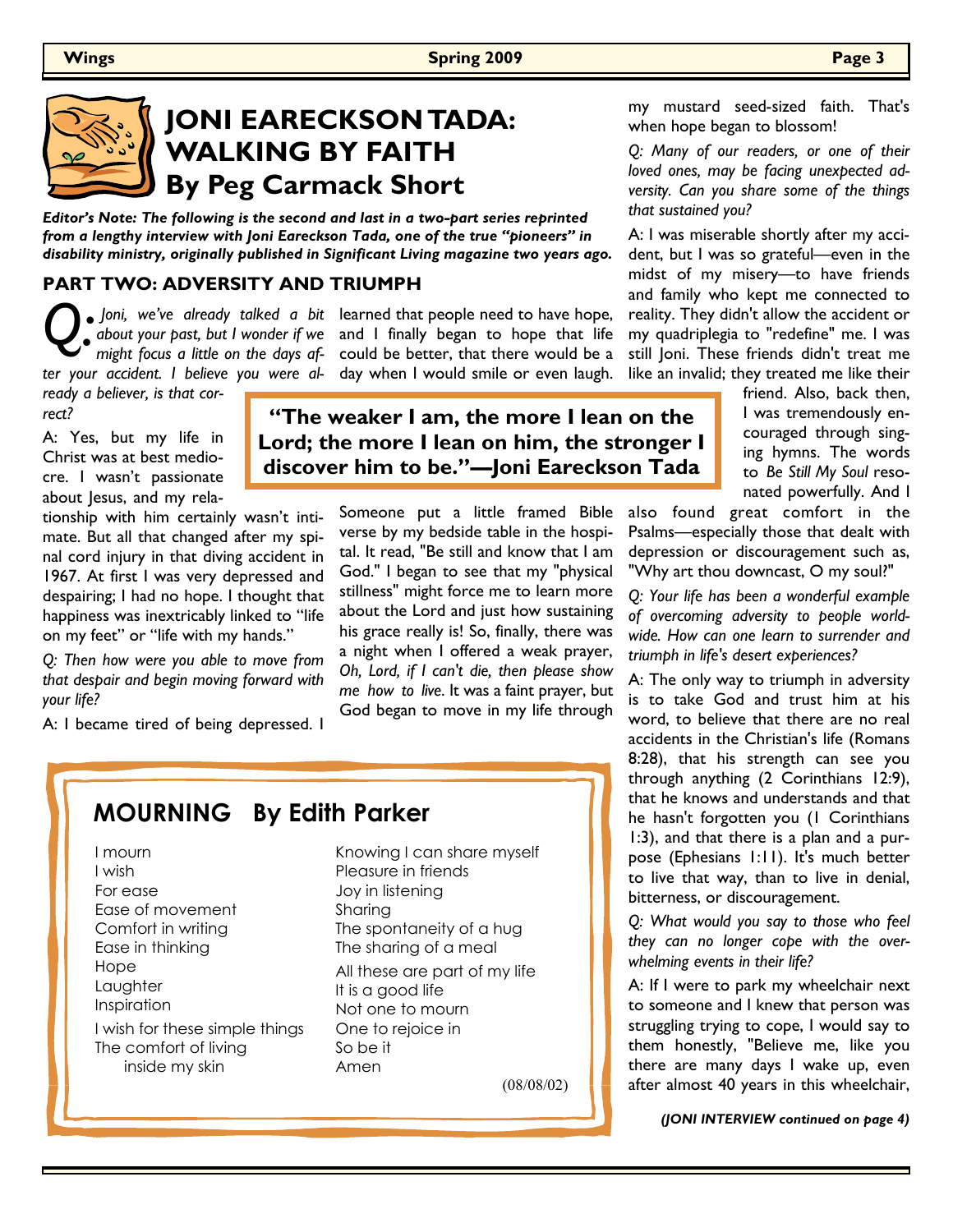## **JONI EARECKSON TADA: WALKING BY FAITH By Peg Carmack Short**

*Editor's Note: The following is the second and last in a two-part series reprinted from a lengthy interview with Joni Eareckson Tada, one of the true "pioneers" in disability ministry, originally published in Significant Living magazine two years ago.* 

#### **PART TWO: ADVERSITY AND TRIUMPH**

*Q: ter your accident. I believe you were al-*

 *Joni, we've already talked a bit*  learned that people need to have hope, *about your past, but I wonder if we*  and I finally began to hope that life might focus a little on the days af- could be better, that there would be a day when I would smile or even laugh.

*ready a believer, is that correct?* 

A: Yes, but my life in Christ was at best mediocre. I wasn't passionate about Jesus, and my rela-

tionship with him certainly wasn't intimate. But all that changed after my spinal cord injury in that diving accident in 1967. At first I was very depressed and despairing; I had no hope. I thought that happiness was inextricably linked to "life on my feet" or "life with my hands."

*Q: Then how were you able to move from that despair and begin moving forward with your life?* 

A: I became tired of being depressed. I

## **"The weaker I am, the more I lean on the Lord; the more I lean on him, the stronger I discover him to be."—Joni Eareckson Tada**

Someone put a little framed Bible verse by my bedside table in the hospital. It read, "Be still and know that I am God." I began to see that my "physical stillness" might force me to learn more about the Lord and just how sustaining his grace really is! So, finally, there was a night when I offered a weak prayer, *Oh, Lord, if I can't die, then please show me how to live*. It was a faint prayer, but God began to move in my life through

## **MOURNING By Edith Parker**

I mourn I wish For ease Ease of movement Comfort in writing Ease in thinking Hope Laughter Inspiration I wish for these simple things The comfort of living inside my skin

Knowing I can share myself Pleasure in friends Joy in listening Sharing The spontaneity of a hug The sharing of a meal All these are part of my life It is a good life Not one to mourn One to rejoice in So be it Amen

(08/08/02)

my mustard seed-sized faith. That's when hope began to blossom!

*Q: Many of our readers, or one of their loved ones, may be facing unexpected adversity. Can you share some of the things that sustained you?* 

A: I was miserable shortly after my accident, but I was so grateful—even in the midst of my misery—to have friends and family who kept me connected to reality. They didn't allow the accident or my quadriplegia to "redefine" me. I was still Joni. These friends didn't treat me like an invalid; they treated me like their

friend. Also, back then, I was tremendously encouraged through singing hymns. The words to *Be Still My Soul* resonated powerfully. And I

also found great comfort in the Psalms—especially those that dealt with depression or discouragement such as, "Why art thou downcast, O my soul?"

*Q: Your life has been a wonderful example of overcoming adversity to people worldwide. How can one learn to surrender and triumph in life's desert experiences?*

A: The only way to triumph in adversity is to take God and trust him at his word, to believe that there are no real accidents in the Christian's life (Romans 8:28), that his strength can see you through anything (2 Corinthians 12:9), that he knows and understands and that he hasn't forgotten you (1 Corinthians 1:3), and that there is a plan and a purpose (Ephesians 1:11). It's much better to live that way, than to live in denial, bitterness, or discouragement.

*Q: What would you say to those who feel they can no longer cope with the overwhelming events in their life?* 

A: If I were to park my wheelchair next to someone and I knew that person was struggling trying to cope, I would say to them honestly, "Believe me, like you there are many days I wake up, even after almost 40 years in this wheelchair,

*(JONI INTERVIEW continued on page 4)*

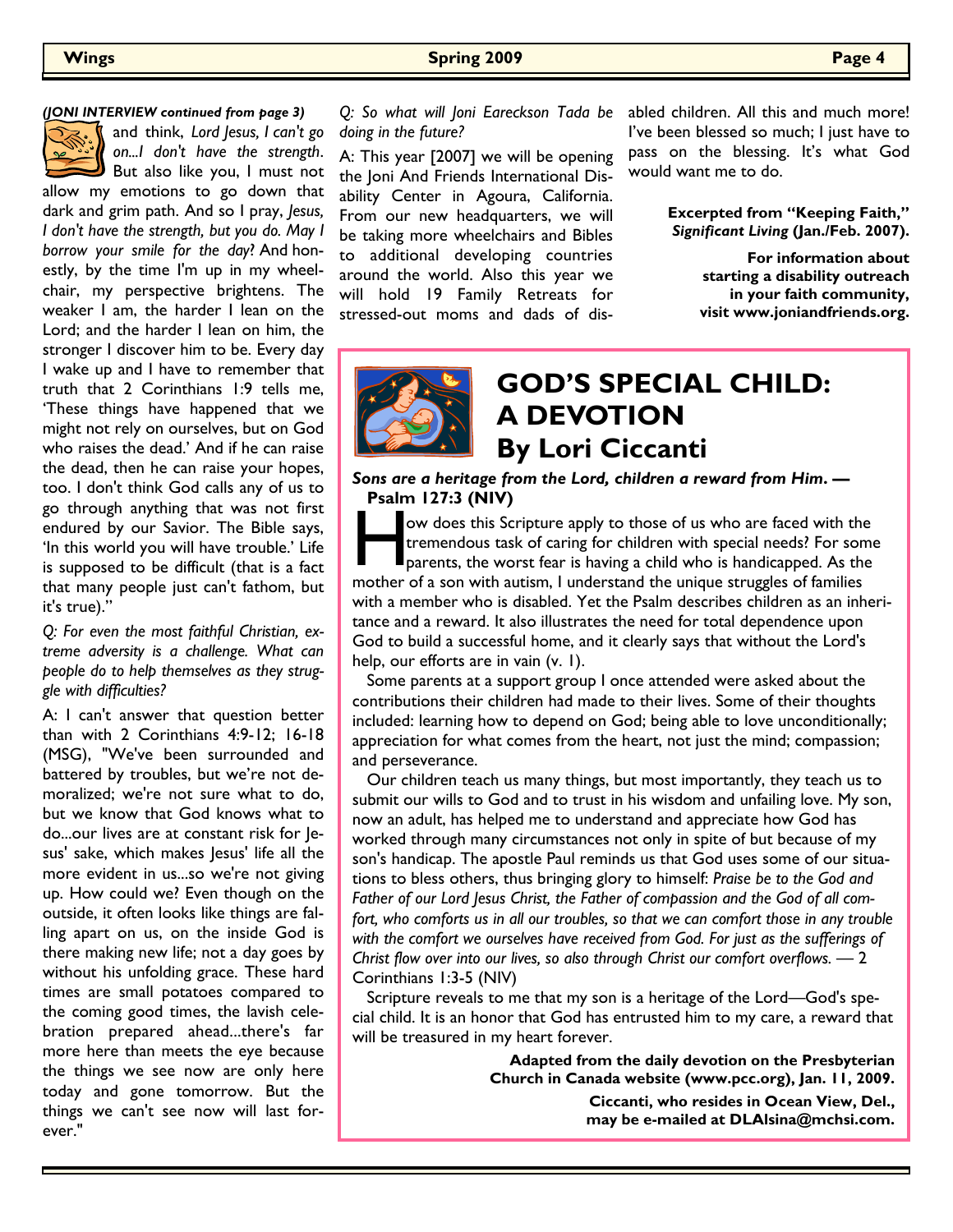#### **Wings Spring 2009 Page 4**

#### *(JONI INTERVIEW continued from page 3)*



and think, *Lord Jesus, I can't go on...I don't have the strength*. But also like you, I must not

allow my emotions to go down that dark and grim path. And so I pray, *Jesus, I don't have the strength, but you do. May I borrow your smile for the day*? And honestly, by the time I'm up in my wheelchair, my perspective brightens. The weaker I am, the harder I lean on the Lord; and the harder I lean on him, the stronger I discover him to be. Every day I wake up and I have to remember that truth that 2 Corinthians 1:9 tells me, 'These things have happened that we might not rely on ourselves, but on God who raises the dead.' And if he can raise the dead, then he can raise your hopes, too. I don't think God calls any of us to go through anything that was not first endured by our Savior. The Bible says, 'In this world you will have trouble.' Life is supposed to be difficult (that is a fact that many people just can't fathom, but it's true)."

*Q: For even the most faithful Christian, extreme adversity is a challenge. What can people do to help themselves as they struggle with difficulties?* 

A: I can't answer that question better than with 2 Corinthians 4:9-12; 16-18 (MSG), "We've been surrounded and battered by troubles, but we're not demoralized; we're not sure what to do, but we know that God knows what to do...our lives are at constant risk for Jesus' sake, which makes Jesus' life all the more evident in us...so we're not giving up. How could we? Even though on the outside, it often looks like things are falling apart on us, on the inside God is there making new life; not a day goes by without his unfolding grace. These hard times are small potatoes compared to the coming good times, the lavish celebration prepared ahead...there's far more here than meets the eye because the things we see now are only here today and gone tomorrow. But the things we can't see now will last forever."

*doing in the future?* 

A: This year [2007] we will be opening the Joni And Friends International Disability Center in Agoura, California. From our new headquarters, we will be taking more wheelchairs and Bibles to additional developing countries around the world. Also this year we will hold 19 Family Retreats for stressed-out moms and dads of dis-

*Q: So what will Joni Eareckson Tada be*  abled children. All this and much more! I've been blessed so much; I just have to pass on the blessing. It's what God would want me to do.

> **Excerpted from "Keeping Faith,"**  *Significant Living* **(Jan./Feb. 2007).**

> > **For information about starting a disability outreach in your faith community, visit www.joniandfriends.org.**



## **GOD'S SPECIAL CHILD: A DEVOTION By Lori Ciccanti**

*Sons are a heritage from the Lord, children a reward from Him***. — Psalm 127:3 (NIV)**

ow does this Scripture apply to those of us who are faced with the tremendous task of caring for children with special needs? For son parents, the worst fear is having a child who is handicapped. As the mother of a son wit ow does this Scripture apply to those of us who are faced with the tremendous task of caring for children with special needs? For some parents, the worst fear is having a child who is handicapped. As the with a member who is disabled. Yet the Psalm describes children as an inheritance and a reward. It also illustrates the need for total dependence upon God to build a successful home, and it clearly says that without the Lord's help, our efforts are in vain (v. 1).

 Some parents at a support group I once attended were asked about the contributions their children had made to their lives. Some of their thoughts included: learning how to depend on God; being able to love unconditionally; appreciation for what comes from the heart, not just the mind; compassion; and perseverance.

 Our children teach us many things, but most importantly, they teach us to submit our wills to God and to trust in his wisdom and unfailing love. My son, now an adult, has helped me to understand and appreciate how God has worked through many circumstances not only in spite of but because of my son's handicap. The apostle Paul reminds us that God uses some of our situations to bless others, thus bringing glory to himself: *Praise be to the God and Father of our Lord Jesus Christ, the Father of compassion and the God of all com*fort, who comforts us in all our troubles, so that we can comfort those in any trouble with the comfort we ourselves have received from God. For just as the sufferings of *Christ flow over into our lives, so also through Christ our comfort overflows. —* 2 Corinthians 1:3-5 (NIV)

 Scripture reveals to me that my son is a heritage of the Lord—God's special child. It is an honor that God has entrusted him to my care, a reward that will be treasured in my heart forever.

> **Adapted from the daily devotion on the Presbyterian Church in Canada website (www.pcc.org), Jan. 11, 2009. Ciccanti, who resides in Ocean View, Del.,**

**may be e-mailed at DLAlsina@mchsi.com.**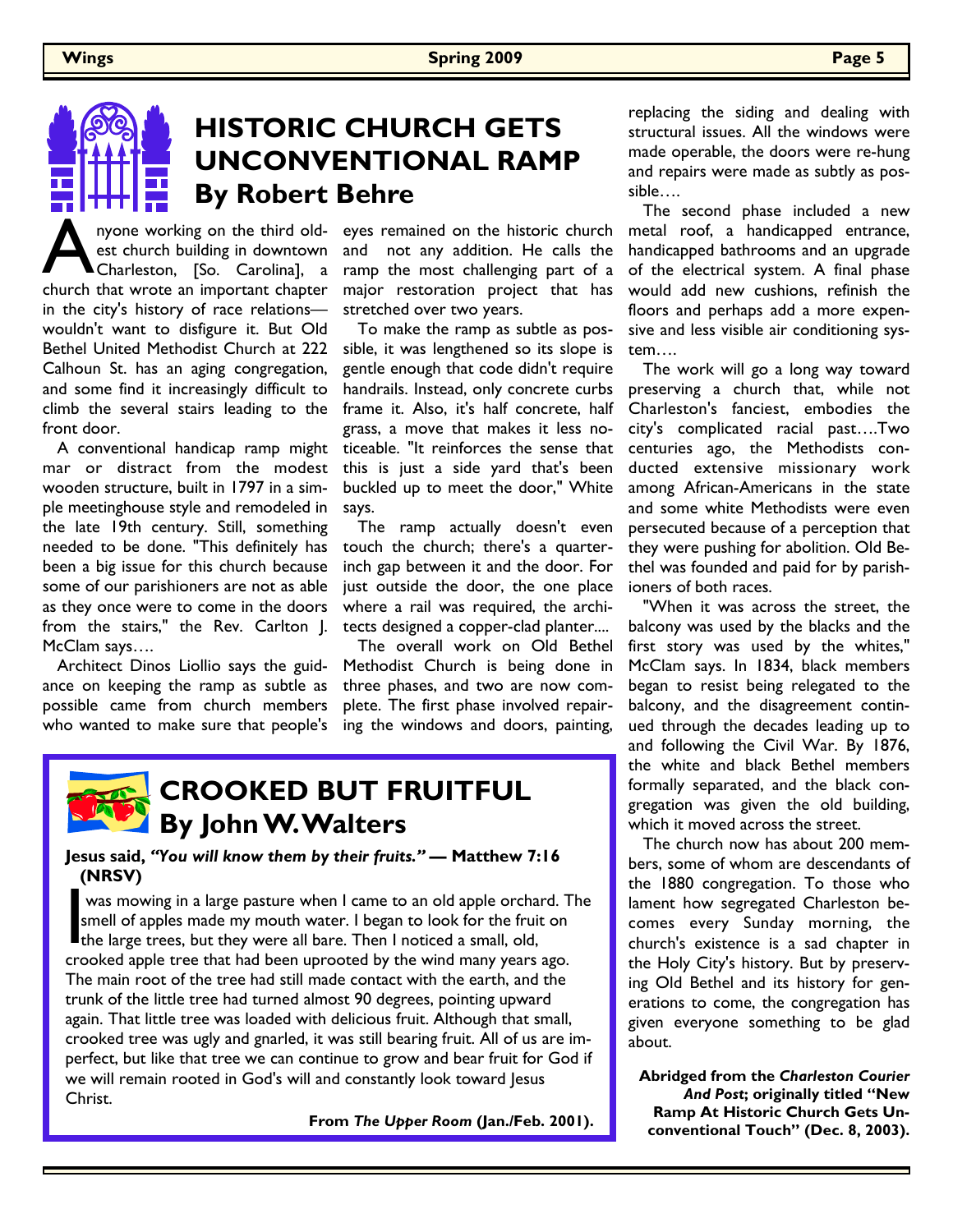## **HISTORIC CHURCH GETS UNCONVENTIONAL RAMP By Robert Behre**

A nyone working on the third oldest church building in downtown<br>Charleston, [So. Carolina], a<br>church that wrote an important chapter nyone working on the third oldest church building in downtown Charleston, [So. Carolina], a in the city's history of race relations wouldn't want to disfigure it. But Old Bethel United Methodist Church at 222 Calhoun St. has an aging congregation, and some find it increasingly difficult to climb the several stairs leading to the front door.

 A conventional handicap ramp might mar or distract from the modest wooden structure, built in 1797 in a simple meetinghouse style and remodeled in the late 19th century. Still, something needed to be done. "This definitely has been a big issue for this church because some of our parishioners are not as able as they once were to come in the doors from the stairs," the Rev. Carlton J. McClam says….

 Architect Dinos Liollio says the guidance on keeping the ramp as subtle as possible came from church members who wanted to make sure that people's

eyes remained on the historic church and not any addition. He calls the ramp the most challenging part of a major restoration project that has stretched over two years.

 To make the ramp as subtle as possible, it was lengthened so its slope is gentle enough that code didn't require handrails. Instead, only concrete curbs frame it. Also, it's half concrete, half grass, a move that makes it less noticeable. "It reinforces the sense that this is just a side yard that's been buckled up to meet the door," White says.

 The ramp actually doesn't even touch the church; there's a quarterinch gap between it and the door. For just outside the door, the one place where a rail was required, the architects designed a copper-clad planter....

 The overall work on Old Bethel Methodist Church is being done in three phases, and two are now complete. The first phase involved repairing the windows and doors, painting,



#### **Jesus said,** *"You will know them by their fruits."* **— Matthew 7:16 (NRSV)**

was mowing in a large pasture when I came to an old apple orchar<br>smell of apples made my mouth water. I began to look for the fruit<br>the large trees, but they were all bare. Then I noticed a small, old,<br>crooked apple tree t was mowing in a large pasture when I came to an old apple orchard. The smell of apples made my mouth water. I began to look for the fruit on crooked apple tree that had been uprooted by the wind many years ago. The main root of the tree had still made contact with the earth, and the trunk of the little tree had turned almost 90 degrees, pointing upward again. That little tree was loaded with delicious fruit. Although that small, crooked tree was ugly and gnarled, it was still bearing fruit. All of us are imperfect, but like that tree we can continue to grow and bear fruit for God if we will remain rooted in God's will and constantly look toward Jesus Christ.

**From** *The Upper Room* **(Jan./Feb. 2001).**

replacing the siding and dealing with structural issues. All the windows were made operable, the doors were re-hung and repairs were made as subtly as possible….

 The second phase included a new metal roof, a handicapped entrance, handicapped bathrooms and an upgrade of the electrical system. A final phase would add new cushions, refinish the floors and perhaps add a more expensive and less visible air conditioning system….

 The work will go a long way toward preserving a church that, while not Charleston's fanciest, embodies the city's complicated racial past….Two centuries ago, the Methodists conducted extensive missionary work among African-Americans in the state and some white Methodists were even persecuted because of a perception that they were pushing for abolition. Old Bethel was founded and paid for by parishioners of both races.

 "When it was across the street, the balcony was used by the blacks and the first story was used by the whites," McClam says. In 1834, black members began to resist being relegated to the balcony, and the disagreement continued through the decades leading up to and following the Civil War. By 1876, the white and black Bethel members formally separated, and the black congregation was given the old building, which it moved across the street.

 The church now has about 200 members, some of whom are descendants of the 1880 congregation. To those who lament how segregated Charleston becomes every Sunday morning, the church's existence is a sad chapter in the Holy City's history. But by preserving Old Bethel and its history for generations to come, the congregation has given everyone something to be glad about.

**Abridged from the** *Charleston Courier And Post***; originally titled "New Ramp At Historic Church Gets Unconventional Touch" (Dec. 8, 2003).**